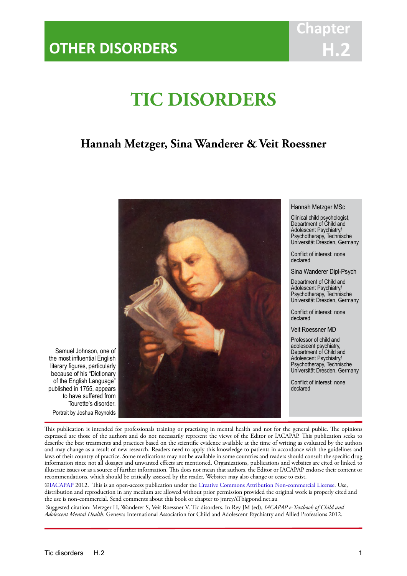## **Chapter H.2**

# **TIC DISORDERS**

IACAPAP Textbook of Child and Adolescent Mental Health

## **Hannah Metzger, Sina Wanderer & Veit Roessner**



Hannah Metzger MSc

Clinical child psychologist, Department of Child and Adolescent Psychiatry/ Psychotherapy, Technische Universität Dresden, Germany

Conflict of interest: none declared

Sina Wanderer Dipl-Psych

Department of Child and Adolescent Psychiatry/ Psychotherapy, Technische Universität Dresden, Germany

Conflict of interest: none declared

Veit Roessner MD

Professor of child and adolescent psychiatry, Department of Child and Adolescent Psychiatry/ Psychotherapy, Technische Universität Dresden, Germany

Conflict of interest: none declared

Samuel Johnson, one of the most influential English literary figures, particularly because of his "Dictionary of the English Language" published in 1755, appears to have suffered from Tourette's disorder. Portrait by Joshua Reynolds

This publication is intended for professionals training or practising in mental health and not for the general public. The opinions expressed are those of the authors and do not necessarily represent the views of the Editor or IACAPAP. This publication seeks to describe the best treatments and practices based on the scientific evidence available at the time of writing as evaluated by the authors and may change as a result of new research. Readers need to apply this knowledge to patients in accordance with the guidelines and laws of their country of practice. Some medications may not be available in some countries and readers should consult the specific drug information since not all dosages and unwanted effects are mentioned. Organizations, publications and websites are cited or linked to illustrate issues or as a source of further information. This does not mean that authors, the Editor or IACAPAP endorse their content or recommendations, which should be critically assessed by the reader. Websites may also change or cease to exist.

[©IACAPAP](http://iacapap.org/) 2012. This is an open-access publication under the [Creative Commons Attribution Non-commercial License](http://creativecommons.org/licenses/by-nc/2.0/). Use, distribution and reproduction in any medium are allowed without prior permission provided the original work is properly cited and the use is non-commercial. Send comments about this book or chapter to jmreyATbigpond.net.au

 Suggested citation: Metzger H, Wanderer S, Veit Roessner V. Tic disorders. In Rey JM (ed), *IACAPAP e-Textbook of Child and Adolescent Mental Health*. Geneva: International Association for Child and Adolescent Psychiatry and Allied Professions 2012.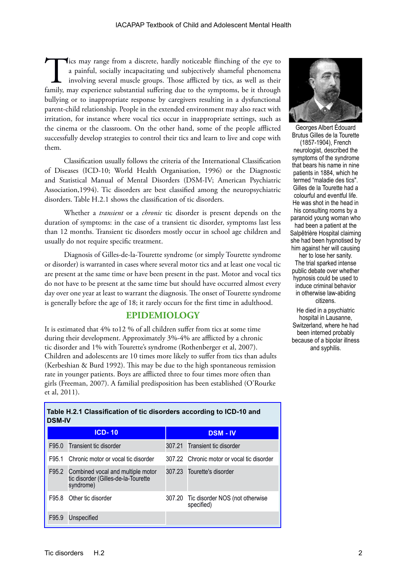Tics may range from a discrete, hardly noticeable flinching of the eye to a painful, socially incapacitating und subjectively shameful phenomena involving several muscle groups. Those afflicted by tics, as well as their fa a painful, socially incapacitating und subjectively shameful phenomena involving several muscle groups. Those afflicted by tics, as well as their bullying or to inappropriate response by caregivers resulting in a dysfunctional parent-child relationship. People in the extended environment may also react with irritation, for instance where vocal tics occur in inappropriate settings, such as the cinema or the classroom. On the other hand, some of the people afflicted successfully develop strategies to control their tics and learn to live and cope with them.

Classification usually follows the criteria of the International Classification of Diseases (ICD-10; World Health Organisation, 1996) or the Diagnostic and Statistical Manual of Mental Disorders (DSM-IV; American Psychiatric Association,1994). Tic disorders are best classified among the neuropsychiatric disorders. Table H.2.1 shows the classification of tic disorders.

Whether a *transient* or a *chronic* tic disorder is present depends on the duration of symptoms: in the case of a transient tic disorder, symptoms last less than 12 months. Transient tic disorders mostly occur in school age children and usually do not require specific treatment.

Diagnosis of Gilles-de-la-Tourette syndrome (or simply Tourette syndrome or disorder) is warranted in cases where several motor tics and at least one vocal tic are present at the same time or have been present in the past. Motor and vocal tics do not have to be present at the same time but should have occurred almost every day over one year at least to warrant the diagnosis. The onset of Tourette syndrome is generally before the age of 18; it rarely occurs for the first time in adulthood.

## **EPIDEMIOLOGY**

It is estimated that 4% to12 % of all children suffer from tics at some time during their development. Approximately 3%-4% are afflicted by a chronic tic disorder and 1% with Tourette's syndrome (Rothenberger et al, 2007). Children and adolescents are 10 times more likely to suffer from tics than adults (Kerbeshian & Burd 1992). This may be due to the high spontaneous remission rate in younger patients. Boys are afflicted three to four times more often than girls (Freeman, 2007). A familial predisposition has been established (O'Rourke et al, 2011).

**Table H.2.1 Classification of tic disorders according to ICD-10 and** 

**DSM-IV ICD-10 DSM - IV**  F95.0 Transient tic disorder 307.21 Transient tic disorder F95.1 Chronic motor or vocal tic disorder 307.22 Chronic motor or vocal tic disorder F95.2 Combined vocal and multiple motor tic disorder (Gilles-de-la-Tourette syndrome) 307.23 Tourette's disorder F95.8 Other tic disorder 307.20 Tic disorder NOS (not otherwise specified) F95.9 Unspecified



Georges Albert Édouard Brutus Gilles de la Tourette (1857-1904), French neurologist, described the symptoms of the syndrome that bears his name in nine patients in 1884, which he termed "maladie des tics". Gilles de la Tourette had a colourful and eventful life. He was shot in the head in his consulting rooms by a paranoid young woman who had been a patient at the

Salpêtrière Hospital claiming she had been hypnotised by him against her will causing

her to lose her sanity. The trial sparked intense public debate over whether hypnosis could be used to induce criminal behavior in otherwise law-abiding citizens.

He died in a psychiatric hospital in Lausanne, Switzerland, where he had been interned probably because of a bipolar illness and syphilis.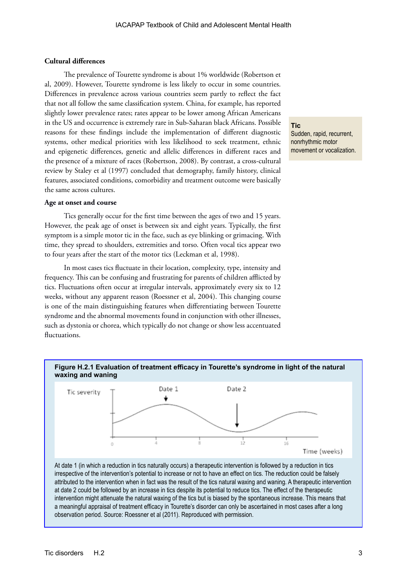## **Cultural differences**

The prevalence of Tourette syndrome is about 1% worldwide (Robertson et al, 2009). However, Tourette syndrome is less likely to occur in some countries. Differences in prevalence across various countries seem partly to reflect the fact that not all follow the same classification system. China, for example, has reported slightly lower prevalence rates; rates appear to be lower among African Americans in the US and occurrence is extremely rare in Sub-Saharan black Africans. Possible reasons for these findings include the implementation of different diagnostic systems, other medical priorities with less likelihood to seek treatment, ethnic and epigenetic differences, genetic and allelic differences in different races and the presence of a mixture of races (Robertson, 2008). By contrast, a cross-cultural review by Staley et al (1997) concluded that demography, family history, clinical features, associated conditions, comorbidity and treatment outcome were basically the same across cultures.

#### **Age at onset and course**

Tics generally occur for the first time between the ages of two and 15 years. However, the peak age of onset is between six and eight years. Typically, the first symptom is a simple motor tic in the face, such as eye blinking or grimacing. With time, they spread to shoulders, extremities and torso. Often vocal tics appear two to four years after the start of the motor tics (Leckman et al, 1998).

In most cases tics fluctuate in their location, complexity, type, intensity and frequency. This can be confusing and frustrating for parents of children afflicted by tics. Fluctuations often occur at irregular intervals, approximately every six to 12 weeks, without any apparent reason (Roessner et al, 2004). This changing course is one of the main distinguishing features when differentiating between Tourette syndrome and the abnormal movements found in conjunction with other illnesses, such as dystonia or chorea, which typically do not change or show less accentuated fluctuations.



at date 2 could be followed by an increase in tics despite its potential to reduce tics. The effect of the therapeutic intervention might attenuate the natural waxing of the tics but is biased by the spontaneous increase. This means that a meaningful appraisal of treatment efficacy in Tourette's disorder can only be ascertained in most cases after a long observation period. Source: Roessner et al (2011). Reproduced with permission.

**Tic** Sudden, rapid, recurrent, nonrhythmic motor movement or vocalization.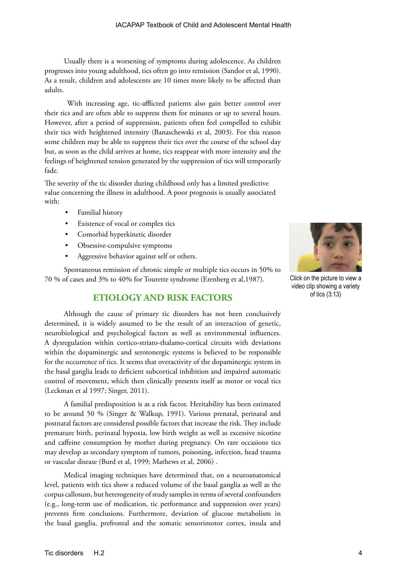Usually there is a worsening of symptoms during adolescence. As children progresses into young adulthood, tics often go into remission (Sandor et al, 1990). As a result, children and adolescents are 10 times more likely to be affected than adults.

 With increasing age, tic-afflicted patients also gain better control over their tics and are often able to suppress them for minutes or up to several hours. However, after a period of suppression, patients often feel compelled to exhibit their tics with heightened intensity (Banaschewski et al, 2003). For this reason some children may be able to suppress their tics over the course of the school day but, as soon as the child arrives at home, tics reappear with more intensity and the feelings of heightened tension generated by the suppression of tics will temporarily fade.

The severity of the tic disorder during childhood only has a limited predictive value concerning the illness in adulthood. A poor prognosis is usually associated with:

- Familial history
- Existence of vocal or complex tics
- Comorbid hyperkinetic disorder
- Obsessive-compulsive symptoms
- Aggressive behavior against self or others.

Spontaneous remission of chronic simple or multiple tics occurs in 50% to 70 % of cases and 3% to 40% for Tourette syndrome (Erenberg et al,1987).

## **ETIOLOGY AND RISK FACTORS**

Although the cause of primary tic disorders has not been conclusively determined, it is widely assumed to be the result of an interaction of genetic, neurobiological and psychological factors as well as environmental influences. A dysregulation within cortico-striato-thalamo-cortical circuits with deviations within the dopaminergic and serotonergic systems is believed to be responsible for the occurrence of tics. It seems that overactivity of the dopaminergic system in the basal ganglia leads to deficient subcortical inhibition and impaired automatic control of movement, which then clinically presents itself as motor or vocal tics (Leckman et al 1997; Singer, 2011).

A familial predisposition is as a risk factor. Heritability has been estimated to be around 50 % (Singer & Walkup, 1991). Various prenatal, perinatal and postnatal factors are considered possible factors that increase the risk. They include premature birth, perinatal hypoxia, low birth weight as well as excessive nicotine and caffeine consumption by mother during pregnancy. On rare occasions tics may develop as secondary symptom of tumors, poisoning, infection, head trauma or vascular disease (Burd et al, 1999; Mathews et al, 2006) .

Medical imaging techniques have determined that, on a neuroanatomical level, patients with tics show a reduced volume of the basal ganglia as well as the corpus callosum, but heterogeneity of study samples in terms of several confounders (e.g., long-term use of medication, tic performance and suppression over years) prevents firm conclusions. Furthermore, deviation of glucose metabolism in the basal ganglia, prefrontal and the somatic sensorimotor cortex, insula and



Click on the picture to view a video clip showing a variety of tics (3:13)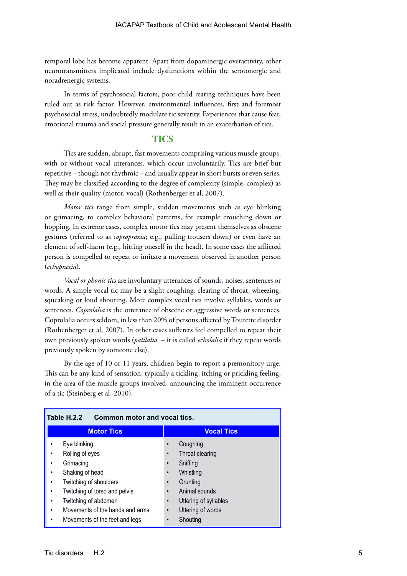temporal lobe has become apparent. Apart from dopaminergic overactivity, other neurotransmitters implicated include dysfunctions within the serotonergic and noradrenergic systems.

In terms of psychosocial factors, poor child rearing techniques have been ruled out as risk factor. However, environmental influences, first and foremost psychosocial stress, undoubtedly modulate tic severity. Experiences that cause fear, emotional trauma and social pressure generally result in an exacerbation of tics.

## **TICS**

Tics are sudden, abrupt, fast movements comprising various muscle groups, with or without vocal utterances, which occur involuntarily. Tics are brief but repetitive – though not rhythmic – and usually appear in short bursts or even series. They may be classified according to the degree of complexity (simple, complex) as well as their quality (motor, vocal) (Rothenberger et al, 2007).

*Motor tics* range from simple, sudden movements such as eye blinking or grimacing, to complex behavioral patterns, for example crouching down or hopping. In extreme cases, complex motor tics may present themselves as obscene gestures (referred to as *copropraxia*; e.g., pulling trousers down) or even have an element of self-harm (e.g., hitting oneself in the head). In some cases the afflicted person is compelled to repeat or imitate a movement observed in another person (*echopraxia*).

*Vocal or phonic tics* are involuntary utterances of sounds, noises, sentences or words. A simple vocal tic may be a slight coughing, clearing of throat, wheezing, squeaking or loud shouting. More complex vocal tics involve syllables, words or sentences. *Coprolalia* is the utterance of obscene or aggressive words or sentences. Coprolalia occurs seldom, in less than 20% of persons affected by Tourette disorder (Rothenberger et al, 2007). In other cases sufferers feel compelled to repeat their own previously spoken words (*palilalia* – it is called *echolalia* if they repeat words previously spoken by someone else).

By the age of 10 or 11 years, children begin to report a premonitory urge. This can be any kind of sensation, typically a tickling, itching or prickling feeling, in the area of the muscle groups involved, announcing the imminent occurrence of a tic (Steinberg et al, 2010).

| Table H.2.2<br>Common motor and vocal tics. |                                    |
|---------------------------------------------|------------------------------------|
| <b>Motor Tics</b>                           | <b>Vocal Tics</b>                  |
| Eye blinking                                | Coughing                           |
| Rolling of eyes                             | Throat clearing                    |
| Grimacing<br>٠                              | Sniffing                           |
| Shaking of head<br>٠                        | Whistling                          |
| Twitching of shoulders                      | Grunting<br>$\bullet$              |
| Twitching of torso and pelvis<br>٠          | Animal sounds                      |
| Twitching of abdomen<br>٠                   | Uttering of syllables<br>$\bullet$ |
| Movements of the hands and arms<br>٠        | Uttering of words<br>$\bullet$     |
| Movements of the feet and legs              | Shouting                           |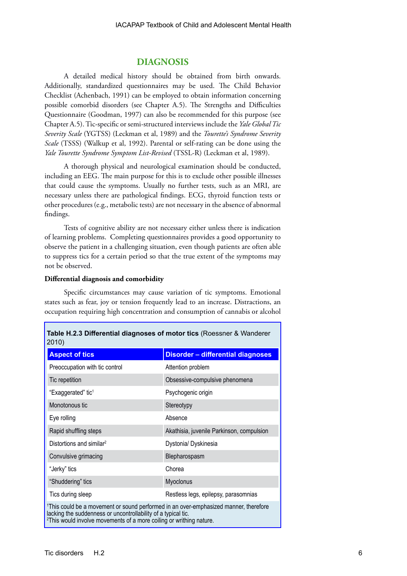## **DIAGNOSIS**

A detailed medical history should be obtained from birth onwards. Additionally, standardized questionnaires may be used. The Child Behavior Checklist (Achenbach, 1991) can be employed to obtain information concerning possible comorbid disorders (see Chapter A.5). The Strengths and Difficulties Questionnaire (Goodman, 1997) can also be recommended for this purpose (see Chapter A.5). Tic-specific or semi-structured interviews include the *Yale Global Tic Severity Scale* (YGTSS) (Leckman et al, 1989) and the *Tourette's Syndrome Severity Scale* (TSSS) (Walkup et al, 1992). Parental or self-rating can be done using the *Yale Tourette Syndrome Symptom List-Revised* (TSSL-R) (Leckman et al, 1989).

A thorough physical and neurological examination should be conducted, including an EEG. The main purpose for this is to exclude other possible illnesses that could cause the symptoms. Usually no further tests, such as an MRI, are necessary unless there are pathological findings. ECG, thyroid function tests or other procedures (e.g., metabolic tests) are not necessary in the absence of abnormal findings.

Tests of cognitive ability are not necessary either unless there is indication of learning problems. Completing questionnaires provides a good opportunity to observe the patient in a challenging situation, even though patients are often able to suppress tics for a certain period so that the true extent of the symptoms may not be observed.

## **Differential diagnosis and comorbidity**

Specific circumstances may cause variation of tic symptoms. Emotional states such as fear, joy or tension frequently lead to an increase. Distractions, an occupation requiring high concentration and consumption of cannabis or alcohol

| 2010)                                                                                                                                            | <b>Table H.2.3 Differential diagnoses of motor tics (Roessner &amp; Wanderer</b>                 |
|--------------------------------------------------------------------------------------------------------------------------------------------------|--------------------------------------------------------------------------------------------------|
| <b>Aspect of tics</b>                                                                                                                            | <b>Disorder - differential diagnoses</b>                                                         |
| Preoccupation with tic control                                                                                                                   | Attention problem                                                                                |
| Tic repetition                                                                                                                                   | Obsessive-compulsive phenomena                                                                   |
| "Exaggerated" tic <sup>1</sup>                                                                                                                   | Psychogenic origin                                                                               |
| Monotonous tic                                                                                                                                   | Stereotypy                                                                                       |
| Eye rolling                                                                                                                                      | Absence                                                                                          |
| Rapid shuffling steps                                                                                                                            | Akathisia, juvenile Parkinson, compulsion                                                        |
| Distortions and similar <sup>2</sup>                                                                                                             | Dystonia/ Dyskinesia                                                                             |
| Convulsive grimacing                                                                                                                             | Blepharospasm                                                                                    |
| "Jerky" tics                                                                                                                                     | Chorea                                                                                           |
| "Shuddering" tics                                                                                                                                | Myoclonus                                                                                        |
| Tics during sleep                                                                                                                                | Restless legs, epilepsy, parasomnias                                                             |
| lacking the suddenness or uncontrollability of a typical tic.<br><sup>2</sup> This would involve movements of a more coiling or writhing nature. | <sup>1</sup> This could be a movement or sound performed in an over-emphasized manner, therefore |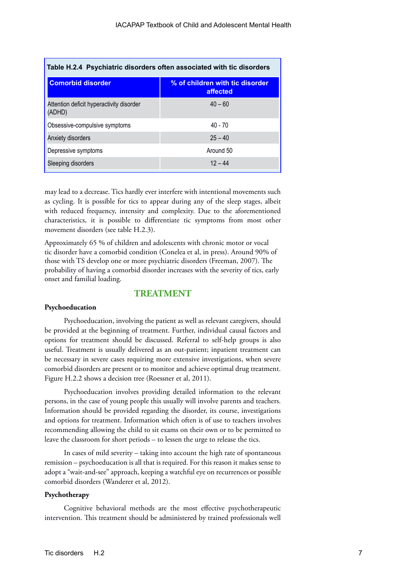| Table H.2.4 Psychiatric disorders often associated with tic disorders |                                             |
|-----------------------------------------------------------------------|---------------------------------------------|
| <b>Comorbid disorder</b>                                              | % of children with tic disorder<br>affected |
| Attention deficit hyperactivity disorder<br>(ADHD)                    | $40 - 60$                                   |
| Obsessive-compulsive symptoms                                         | $40 - 70$                                   |
| Anxiety disorders                                                     | $25 - 40$                                   |
| Depressive symptoms                                                   | Around 50                                   |
| Sleeping disorders                                                    | $12 - 44$                                   |

may lead to a decrease. Tics hardly ever interfere with intentional movements such as cycling. It is possible for tics to appear during any of the sleep stages, albeit with reduced frequency, intensity and complexity. Due to the aforementioned characteristics, it is possible to differentiate tic symptoms from most other movement disorders (see table H.2.3).

Approximately 65 % of children and adolescents with chronic motor or vocal tic disorder have a comorbid condition (Conelea et al, in press). Around 90% of those with TS develop one or more psychiatric disorders (Freeman, 2007). The probability of having a comorbid disorder increases with the severity of tics, early onset and familial loading.

## **TREATMENT**

#### **Psychoeducation**

Psychoeducation, involving the patient as well as relevant caregivers, should be provided at the beginning of treatment. Further, individual causal factors and options for treatment should be discussed. Referral to self-help groups is also useful. Treatment is usually delivered as an out-patient; inpatient treatment can be necessary in severe cases requiring more extensive investigations, when severe comorbid disorders are present or to monitor and achieve optimal drug treatment. Figure H.2.2 shows a decision tree (Roessner et al, 2011).

Psychoeducation involves providing detailed information to the relevant persons, in the case of young people this usually will involve parents and teachers. Information should be provided regarding the disorder, its course, investigations and options for treatment. Information which often is of use to teachers involves recommending allowing the child to sit exams on their own or to be permitted to leave the classroom for short periods – to lessen the urge to release the tics.

In cases of mild severity – taking into account the high rate of spontaneous remission – psychoeducation is all that is required. For this reason it makes sense to adopt a "wait-and-see" approach, keeping a watchful eye on recurrences or possible comorbid disorders (Wanderer et al, 2012).

### **Psychotherapy**

Cognitive behavioral methods are the most effective psychotherapeutic intervention. This treatment should be administered by trained professionals well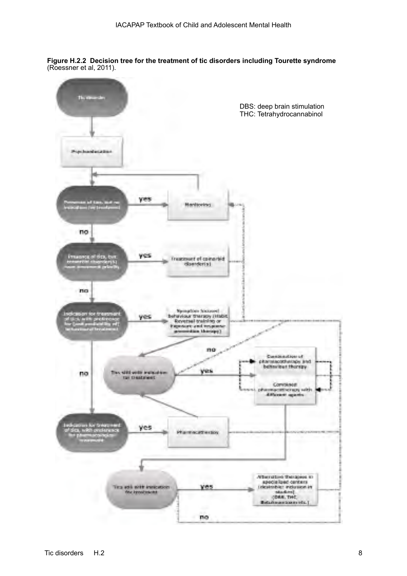**Figure H.2.2 Decision tree for the treatment of tic disorders including Tourette syndrome**  (Roessner et al, 2011).

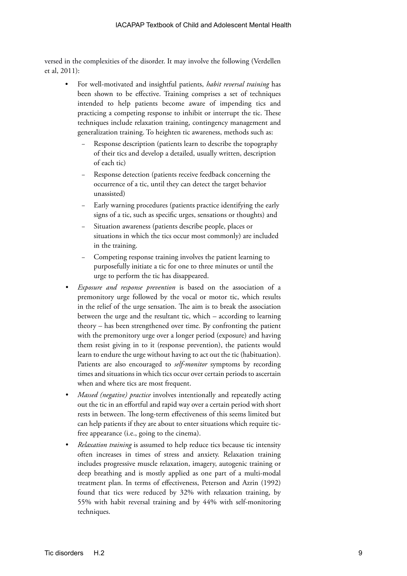versed in the complexities of the disorder. It may involve the following (Verdellen et al, 2011):

- For well-motivated and insightful patients, *habit reversal training* has been shown to be effective. Training comprises a set of techniques intended to help patients become aware of impending tics and practicing a competing response to inhibit or interrupt the tic. These techniques include relaxation training, contingency management and generalization training. To heighten tic awareness, methods such as:
	- Response description (patients learn to describe the topography of their tics and develop a detailed, usually written, description of each tic)
	- Response detection (patients receive feedback concerning the occurrence of a tic, until they can detect the target behavior unassisted)
	- − Early warning procedures (patients practice identifying the early signs of a tic, such as specific urges, sensations or thoughts) and
	- Situation awareness (patients describe people, places or situations in which the tics occur most commonly) are included in the training.
	- Competing response training involves the patient learning to purposefully initiate a tic for one to three minutes or until the urge to perform the tic has disappeared.
- *• Exposure and response prevention* is based on the association of a premonitory urge followed by the vocal or motor tic, which results in the relief of the urge sensation. The aim is to break the association between the urge and the resultant tic, which – according to learning theory – has been strengthened over time. By confronting the patient with the premonitory urge over a longer period (exposure) and having them resist giving in to it (response prevention), the patients would learn to endure the urge without having to act out the tic (habituation). Patients are also encouraged to *self-monitor* symptoms by recording times and situations in which tics occur over certain periods to ascertain when and where tics are most frequent.
- *• Massed (negative) practice* involves intentionally and repeatedly acting out the tic in an effortful and rapid way over a certain period with short rests in between. The long-term effectiveness of this seems limited but can help patients if they are about to enter situations which require ticfree appearance (i.e., going to the cinema).
- *• Relaxation training* is assumed to help reduce tics because tic intensity often increases in times of stress and anxiety. Relaxation training includes progressive muscle relaxation, imagery, autogenic training or deep breathing and is mostly applied as one part of a multi-modal treatment plan. In terms of effectiveness, Peterson and Azrin (1992) found that tics were reduced by 32% with relaxation training, by 55% with habit reversal training and by 44% with self-monitoring techniques.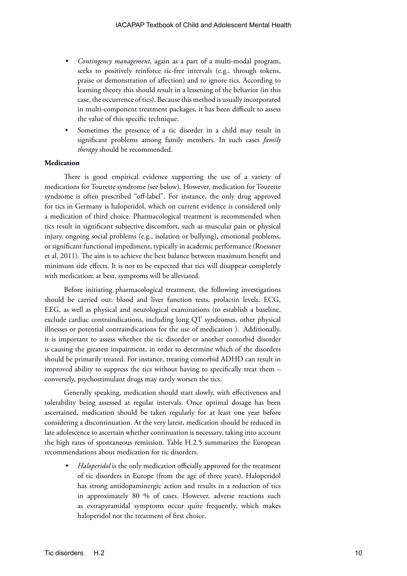- *• Contingency management*, again as a part of a multi-modal program, seeks to positively reinforce tic-free intervals (e.g., through tokens, praise or demonstration of affection) and to ignore tics. According to learning theory this should result in a lessening of the behavior (in this case, the occurrence of tics). Because this method is usually incorporated in multi-component treatment packages, it has been difficult to assess the value of this specific technique.
- Sometimes the presence of a tic disorder in a child may result in significant problems among family members. In such cases *family therapy* should be recommended.

## **Medication**

There is good empirical evidence supporting the use of a variety of medications for Tourette syndrome (see below). However, medication for Tourette syndrome is often prescribed "off-label". For instance, the only drug approved for tics in Germany is haloperidol, which on current evidence is considered only a medication of third choice. Pharmacological treatment is recommended when tics result in significant subjective discomfort, such as muscular pain or physical injury, ongoing social problems (e.g., isolation or bullying), emotional problems, or significant functional impediment, typically in academic performance (Roessner et al, 2011). The aim is to achieve the best balance between maximum benefit and minimum side effects. It is not to be expected that tics will disappear completely with medication; at best, symptoms will be alleviated.

Before initiating pharmacological treatment, the following investigations should be carried out: blood and liver function tests, prolactin levels, ECG, EEG, as well as physical and neurological examinations (to establish a baseline, exclude cardiac contraindications, including long QT syndromes, other physical illnesses or potential contraindications for the use of medication ). Additionally, it is important to assess whether the tic disorder or another comorbid disorder is causing the greatest impairment, in order to determine which of the disorders should be primarily treated. For instance, treating comorbid ADHD can result in improved ability to suppress the tics without having to specifically treat them – conversely, psychostimulant drugs may rarely worsen the tics.

Generally speaking, medication should start slowly, with effectiveness and tolerability being assessed at regular intervals. Once optimal dosage has been ascertained, medication should be taken regularly for at least one year before considering a discontinuation. At the very latest, medication should be reduced in late adolescence to ascertain whether continuation is necessary, taking into account the high rates of spontaneous remission. Table H.2.5 summarizes the European recommendations about medication for tic disorders.

*• Haloperidol* is the only medication officially approved for the treatment of tic disorders in Europe (from the age of three years). Haloperidol has strong antidopaminergic action and results in a reduction of tics in approximately 80 % of cases. However, adverse reactions such as extrapyramidal symptoms occur quite frequently, which makes haloperidol not the treatment of first choice.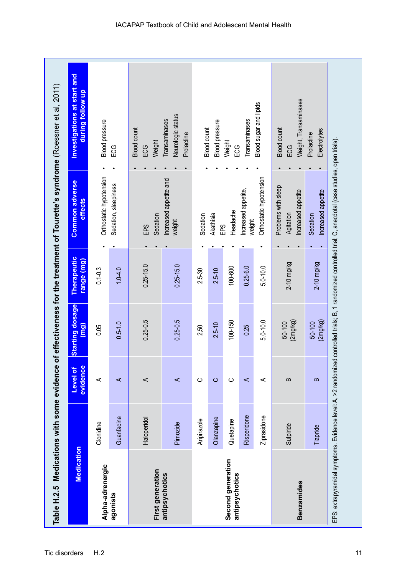| Table H.2.5 Medications with some evidence |             |                      |                                |                           |                                                                                                                                                               | of effectiveness for the treatment of Tourette's syndrome (Roessner et al, 2011) |
|--------------------------------------------|-------------|----------------------|--------------------------------|---------------------------|---------------------------------------------------------------------------------------------------------------------------------------------------------------|----------------------------------------------------------------------------------|
| Medication                                 |             | evidence<br>Level of | <b>Starting dosage</b><br>(mg) | Therapeutic<br>range (mg) | <b>Common adverse</b><br>effects                                                                                                                              | Investigations at start and<br>during follow up                                  |
| Alpha-adrenergic                           | Clonidine   | ⋖                    | 0.05                           | $0.1 - 0.3$               | Orthostatic hypotension                                                                                                                                       | <b>Blood</b> pressure                                                            |
| agonists                                   | Guanfacine  | ⋖                    | $0.5 - 1.0$                    | $1.0 - 4.0$               | Sedation, sleepiness                                                                                                                                          | 50G                                                                              |
| First generation                           | Haloperidol | ⋖                    | $0.25 - 0.5$                   | $0.25 - 15.0$             | Sedation<br>EPS                                                                                                                                               | <b>Blood count</b><br>Weight<br>ECG                                              |
| antipsychotics                             | Pimozide    | ⋖                    | $0.25 - 0.5$                   | $0.25 - 15.0$             | Increased appetite and<br>weight                                                                                                                              | Neurologic status<br>Transaminases<br>Prolactine                                 |
|                                            | Aripirazole | ပ                    | 2,50                           | 2.5-30                    | Sedation                                                                                                                                                      | <b>Blood count</b>                                                               |
|                                            | Olanzapine  | $\circ$              | $2.5 - 10$                     | $2.5 - 10$                | Akathisia<br>EPS                                                                                                                                              | <b>Blood</b> pressure                                                            |
| Second generation<br>antipsychotics        | Quetapine   | ပ                    | 100-150                        | 100-600                   | Headache                                                                                                                                                      | Weight<br>ლ<br>⊞                                                                 |
|                                            | Risperidone | ⋖                    | 0.25                           | $0.25 - 6.0$              | Increased appetite,<br>weight                                                                                                                                 | Transaminases                                                                    |
|                                            | Ziprasidone | ⋖                    | $5.0 - 10.0$                   | $5.0 - 10.0$              | Orthostatic hypotension                                                                                                                                       | Blood sugar and lipids                                                           |
| <b>Benzamides</b>                          | Sulpiride   | $\mathbf{a}$         | (2mg/kg)<br>50-100             | $2-10$ mg/kg              | Problems with sleep<br>Increased appetite<br>Agitation                                                                                                        | Weight, Transaminases<br><b>Blood count</b><br>ECG                               |
|                                            | Tiapride    | $\mathbf{a}$         | (2mg/kg)<br>50-100             | $2-10$ mg/kg              | Increased appetite<br>Sedation                                                                                                                                | Electrolytes<br>Prolactine                                                       |
|                                            |             |                      |                                |                           | EPS: extrapyramidal symptoms. Evidence level: A, >2 randomized controlled trials; B, 1 randomized controlled trial; C, anecdotal (case studies, open trials). |                                                                                  |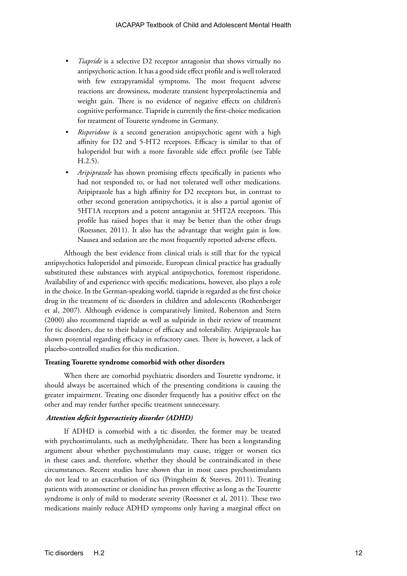- *Tiapride* is a selective D2 receptor antagonist that shows virtually no antipsychotic action. It has a good side effect profile and is well tolerated with few extrapyramidal symptoms. The most frequent adverse reactions are drowsiness, moderate transient hyperprolactinemia and weight gain. There is no evidence of negative effects on children's cognitive performance. Tiapride is currently the first-choice medication for treatment of Tourette syndrome in Germany.
- *• Risperidone* is a second generation antipsychotic agent with a high affinity for D2 and 5-HT2 receptors. Efficacy is similar to that of haloperidol but with a more favorable side effect profile (see Table H.2.5).
- *• Aripiprazole* has shown promising effects specifically in patients who had not responded to, or had not tolerated well other medications. Aripiprazole has a high affinity for D2 receptors but, in contrast to other second generation antipsychotics, it is also a partial agonist of 5HT1A receptors and a potent antagonist at 5HT2A receptors. This profile has raised hopes that it may be better than the other drugs (Roessner, 2011). It also has the advantage that weight gain is low. Nausea and sedation are the most frequently reported adverse effects.

Although the best evidence from clinical trials is still that for the typical antipsychotics haloperidol and pimozide, European clinical practice has gradually substituted these substances with atypical antipsychotics, foremost risperidone. Availability of and experience with specific medications, however, also plays a role in the choice. In the German-speaking world, tiapride is regarded as the first choice drug in the treatment of tic disorders in children and adolescents (Rothenberger et al, 2007). Although evidence is comparatively limited, Roberston and Stern (2000) also recommend tiapride as well as sulpiride in their review of treatment for tic disorders, due to their balance of efficacy and tolerability. Aripiprazole has shown potential regarding efficacy in refractory cases. There is, however, a lack of placebo-controlled studies for this medication.

## **Treating Tourette syndrome comorbid with other disorders**

When there are comorbid psychiatric disorders and Tourette syndrome, it should always be ascertained which of the presenting conditions is causing the greater impairment. Treating one disorder frequently has a positive effect on the other and may render further specific treatment unnecessary.

#### *Attention deficit hyperactivity disorder (ADHD)*

If ADHD is comorbid with a tic disorder, the former may be treated with psychostimulants, such as methylphenidate. There has been a longstanding argument about whether psychostimulants may cause, trigger or worsen tics in these cases and, therefore, whether they should be contraindicated in these circumstances. Recent studies have shown that in most cases psychostimulants do not lead to an exacerbation of tics (Pringsheim & Steeves, 2011). Treating patients with atomoxetine or clonidine has proven effective as long as the Tourette syndrome is only of mild to moderate severity (Roessner et al, 2011). These two medications mainly reduce ADHD symptoms only having a marginal effect on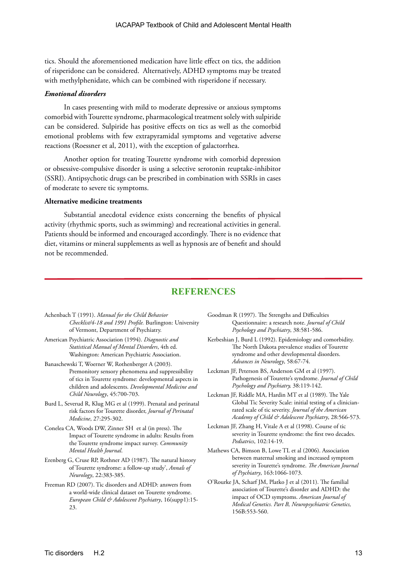tics. Should the aforementioned medication have little effect on tics, the addition of risperidone can be considered. Alternatively, ADHD symptoms may be treated with methylphenidate, which can be combined with risperidone if necessary.

## *Emotional disorders*

In cases presenting with mild to moderate depressive or anxious symptoms comorbid with Tourette syndrome, pharmacological treatment solely with sulpiride can be considered. Sulpiride has positive effects on tics as well as the comorbid emotional problems with few extrapyramidal symptoms and vegetative adverse reactions (Roessner et al, 2011), with the exception of galactorrhea.

Another option for treating Tourette syndrome with comorbid depression or obsessive-compulsive disorder is using a selective serotonin reuptake-inhibitor (SSRI). Antipsychotic drugs can be prescribed in combination with SSRIs in cases of moderate to severe tic symptoms.

#### **Alternative medicine treatments**

Substantial anecdotal evidence exists concerning the benefits of physical activity (rhythmic sports, such as swimming) and recreational activities in general. Patients should be informed and encouraged accordingly. There is no evidence that diet, vitamins or mineral supplements as well as hypnosis are of benefit and should not be recommended.

## **REFERENCES**

- Achenbach T (1991). *Manual for the Child Behavior Checklist/4-18 and 1991 Profile.* Burlington: University of Vermont, Department of Psychiatry.
- American Psychiatric Association (1994). *Diagnostic and Statistical Manual of Mental Disorders*, 4th ed. Washington: American Psychiatric Association.
- Banaschewski T, Woerner W, Rothenberger A (2003). Premonitory sensory phenomena and suppressibility of tics in Tourette syndrome: developmental aspects in children and adolescents. *Developmental Medicine and Child Neurology*, 45:700-703.
- Burd L, Severud R, Klug MG et al (1999). Prenatal and perinatal risk factors for Tourette disorder, *Journal of Perinatal Medicine*, 27:295-302.
- Conelea CA, Woods DW, Zinner SH et al (in press). The Impact of Tourette syndrome in adults: Results from the Tourette syndrome impact survey. *Community Mental Health Journal*.
- Erenberg G, Cruse RP, Rothner AD (1987). The natural history of Tourette syndrome: a follow-up study', *Annals of Neurology*, 22:383-385.
- Freeman RD (2007). Tic disorders and ADHD: answers from a world-wide clinical dataset on Tourette syndrome. *European Child & Adolescent Psychiatry*, 16(supp1):15-  $23$
- Goodman R (1997). The Strengths and Difficulties Questionnaire: a research note. *Journal of Child Psychology and Psychiatry*, 38:581-586.
- Kerbeshian J, Burd L (1992). Epidemiology and comorbidity. The North Dakota prevalence studies of Tourette syndrome and other developmental disorders. *Advances in Neurology*, 58:67-74.
- Leckman JF, Peterson BS, Anderson GM et al (1997). Pathogenesis of Tourette's syndrome. *Journal of Child Psychology and Psychiatry,* 38:119-142.
- Leckman JF, Riddle MA, Hardin MT et al (1989). The Yale Global Tic Severity Scale: initial testing of a clinicianrated scale of tic severity. *Journal of the American Academy of Child & Adolescent Psychiatry*, 28:566-573.
- Leckman JF, Zhang H, Vitale A et al (1998). Course of tic severity in Tourette syndrome: the first two decades. *Pediatrics*, 102:14-19.
- Mathews CA, Bimson B, Lowe TL et al (2006). Association between maternal smoking and increased symptom severity in Tourette's syndrome. *The American Journal of Psychiatry*, 163:1066-1073.
- O'Rourke JA, Scharf JM, Platko J et al (2011). The familial association of Tourette's disorder and ADHD: the impact of OCD symptoms. *American Journal of Medical Genetics. Part B, Neuropsychiatric Genetics,* 156B:553-560.